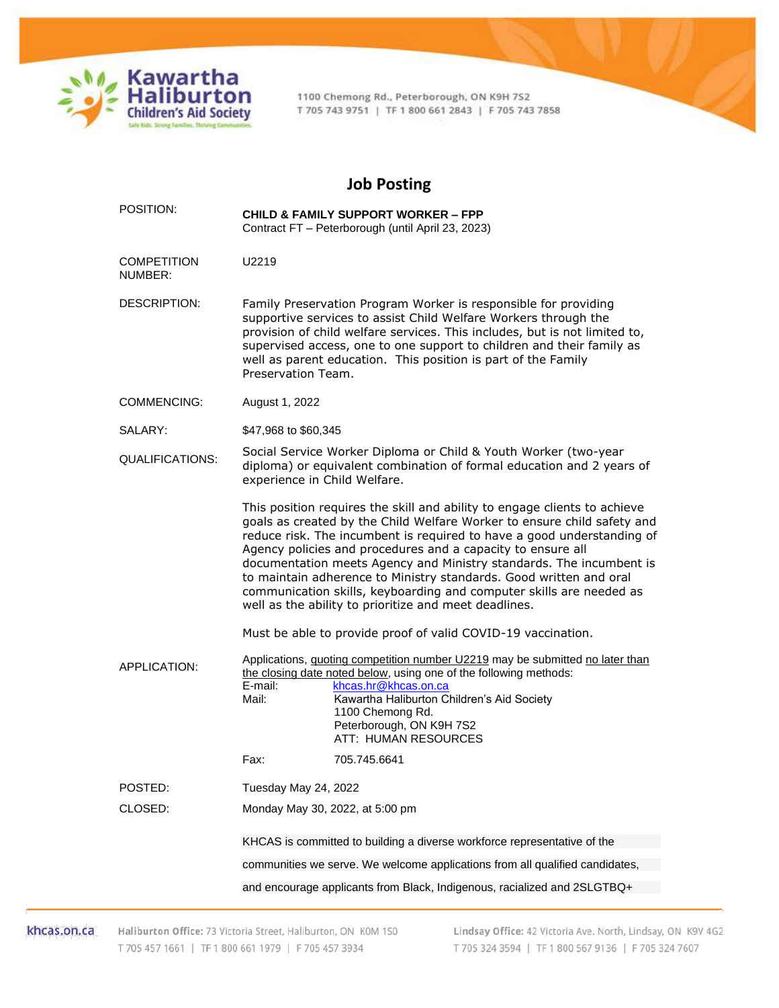

1100 Chemong Rd., Peterborough, ON K9H 7S2 T 705 743 9751 | TF 1 800 661 2843 | F 705 743 7858

## **Job Posting**

| POSITION:                     | <b>CHILD &amp; FAMILY SUPPORT WORKER - FPP</b><br>Contract FT - Peterborough (until April 23, 2023)                                                                                                                                                                                                                                                                                                                                                                                                                                                                        |
|-------------------------------|----------------------------------------------------------------------------------------------------------------------------------------------------------------------------------------------------------------------------------------------------------------------------------------------------------------------------------------------------------------------------------------------------------------------------------------------------------------------------------------------------------------------------------------------------------------------------|
| <b>COMPETITION</b><br>NUMBER: | U2219                                                                                                                                                                                                                                                                                                                                                                                                                                                                                                                                                                      |
| <b>DESCRIPTION:</b>           | Family Preservation Program Worker is responsible for providing<br>supportive services to assist Child Welfare Workers through the<br>provision of child welfare services. This includes, but is not limited to,<br>supervised access, one to one support to children and their family as<br>well as parent education. This position is part of the Family<br>Preservation Team.                                                                                                                                                                                           |
| <b>COMMENCING:</b>            | August 1, 2022                                                                                                                                                                                                                                                                                                                                                                                                                                                                                                                                                             |
| SALARY:                       | \$47,968 to \$60,345                                                                                                                                                                                                                                                                                                                                                                                                                                                                                                                                                       |
| QUALIFICATIONS:               | Social Service Worker Diploma or Child & Youth Worker (two-year<br>diploma) or equivalent combination of formal education and 2 years of<br>experience in Child Welfare.                                                                                                                                                                                                                                                                                                                                                                                                   |
|                               | This position requires the skill and ability to engage clients to achieve<br>goals as created by the Child Welfare Worker to ensure child safety and<br>reduce risk. The incumbent is required to have a good understanding of<br>Agency policies and procedures and a capacity to ensure all<br>documentation meets Agency and Ministry standards. The incumbent is<br>to maintain adherence to Ministry standards. Good written and oral<br>communication skills, keyboarding and computer skills are needed as<br>well as the ability to prioritize and meet deadlines. |
|                               | Must be able to provide proof of valid COVID-19 vaccination.                                                                                                                                                                                                                                                                                                                                                                                                                                                                                                               |
| <b>APPLICATION:</b>           | Applications, quoting competition number U2219 may be submitted no later than<br>the closing date noted below, using one of the following methods:<br>E-mail:<br>khcas.hr@khcas.on.ca<br>Mail:<br>Kawartha Haliburton Children's Aid Society<br>1100 Chemong Rd.<br>Peterborough, ON K9H 7S2<br>ATT: HUMAN RESOURCES                                                                                                                                                                                                                                                       |
|                               | 705.745.6641<br>Fax:                                                                                                                                                                                                                                                                                                                                                                                                                                                                                                                                                       |
| POSTED:                       | Tuesday May 24, 2022                                                                                                                                                                                                                                                                                                                                                                                                                                                                                                                                                       |
| CLOSED:                       | Monday May 30, 2022, at 5:00 pm                                                                                                                                                                                                                                                                                                                                                                                                                                                                                                                                            |
|                               | KHCAS is committed to building a diverse workforce representative of the                                                                                                                                                                                                                                                                                                                                                                                                                                                                                                   |
|                               | communities we serve. We welcome applications from all qualified candidates,                                                                                                                                                                                                                                                                                                                                                                                                                                                                                               |
|                               | and encourage applicants from Black, Indigenous, racialized and 2SLGTBQ+                                                                                                                                                                                                                                                                                                                                                                                                                                                                                                   |

khcas.on.ca Haliburton Office: 73 Victoria Street, Haliburton, ON K0M 1S0 T 705 457 1661 | TF 1 800 661 1979 | F 705 457 3934